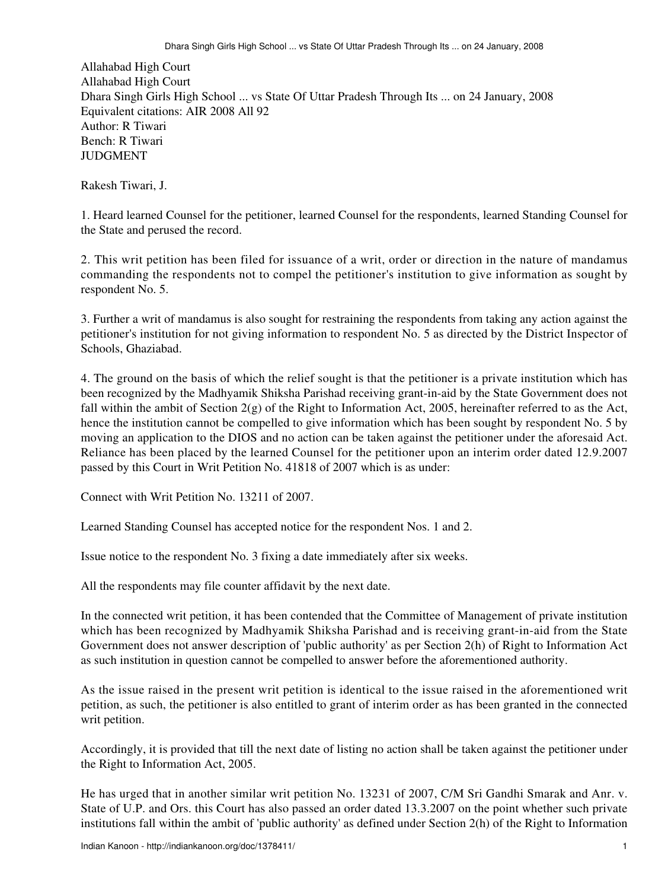Allahabad High Court Allahabad High Court Dhara Singh Girls High School ... vs State Of Uttar Pradesh Through Its ... on 24 January, 2008 Equivalent citations: AIR 2008 All 92 Author: R Tiwari Bench: R Tiwari JUDGMENT

Rakesh Tiwari, J.

1. Heard learned Counsel for the petitioner, learned Counsel for the respondents, learned Standing Counsel for the State and perused the record.

2. This writ petition has been filed for issuance of a writ, order or direction in the nature of mandamus commanding the respondents not to compel the petitioner's institution to give information as sought by respondent No. 5.

3. Further a writ of mandamus is also sought for restraining the respondents from taking any action against the petitioner's institution for not giving information to respondent No. 5 as directed by the District Inspector of Schools, Ghaziabad.

4. The ground on the basis of which the relief sought is that the petitioner is a private institution which has been recognized by the Madhyamik Shiksha Parishad receiving grant-in-aid by the State Government does not fall within the ambit of Section 2(g) of the Right to Information Act, 2005, hereinafter referred to as the Act, hence the institution cannot be compelled to give information which has been sought by respondent No. 5 by moving an application to the DIOS and no action can be taken against the petitioner under the aforesaid Act. Reliance has been placed by the learned Counsel for the petitioner upon an interim order dated 12.9.2007 passed by this Court in Writ Petition No. 41818 of 2007 which is as under:

Connect with Writ Petition No. 13211 of 2007.

Learned Standing Counsel has accepted notice for the respondent Nos. 1 and 2.

Issue notice to the respondent No. 3 fixing a date immediately after six weeks.

All the respondents may file counter affidavit by the next date.

In the connected writ petition, it has been contended that the Committee of Management of private institution which has been recognized by Madhyamik Shiksha Parishad and is receiving grant-in-aid from the State Government does not answer description of 'public authority' as per Section 2(h) of Right to Information Act as such institution in question cannot be compelled to answer before the aforementioned authority.

As the issue raised in the present writ petition is identical to the issue raised in the aforementioned writ petition, as such, the petitioner is also entitled to grant of interim order as has been granted in the connected writ petition.

Accordingly, it is provided that till the next date of listing no action shall be taken against the petitioner under the Right to Information Act, 2005.

He has urged that in another similar writ petition No. 13231 of 2007, C/M Sri Gandhi Smarak and Anr. v. State of U.P. and Ors. this Court has also passed an order dated 13.3.2007 on the point whether such private institutions fall within the ambit of 'public authority' as defined under Section 2(h) of the Right to Information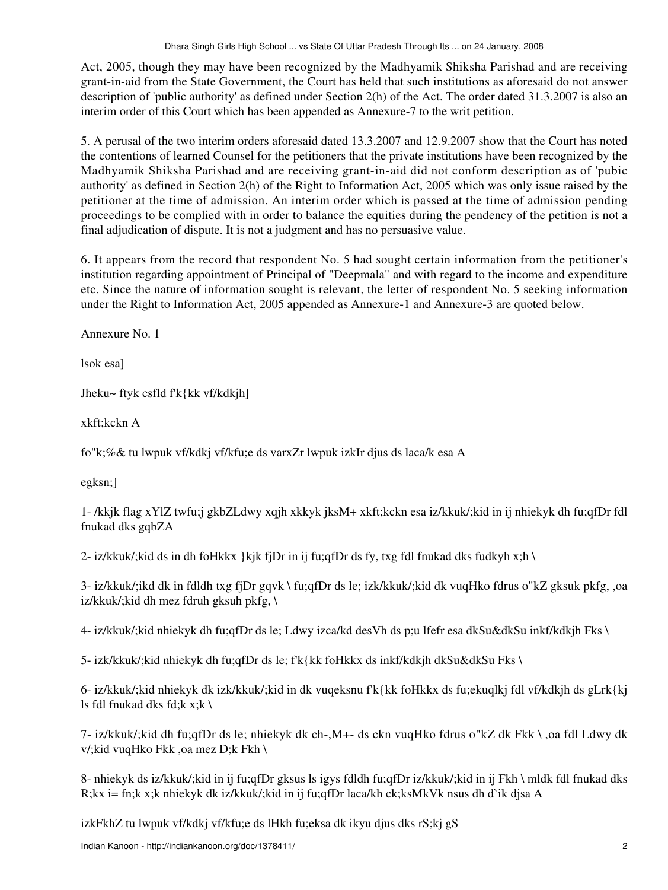Act, 2005, though they may have been recognized by the Madhyamik Shiksha Parishad and are receiving grant-in-aid from the State Government, the Court has held that such institutions as aforesaid do not answer description of 'public authority' as defined under Section 2(h) of the Act. The order dated 31.3.2007 is also an interim order of this Court which has been appended as Annexure-7 to the writ petition.

5. A perusal of the two interim orders aforesaid dated 13.3.2007 and 12.9.2007 show that the Court has noted the contentions of learned Counsel for the petitioners that the private institutions have been recognized by the Madhyamik Shiksha Parishad and are receiving grant-in-aid did not conform description as of 'pubic authority' as defined in Section 2(h) of the Right to Information Act, 2005 which was only issue raised by the petitioner at the time of admission. An interim order which is passed at the time of admission pending proceedings to be complied with in order to balance the equities during the pendency of the petition is not a final adjudication of dispute. It is not a judgment and has no persuasive value.

6. It appears from the record that respondent No. 5 had sought certain information from the petitioner's institution regarding appointment of Principal of "Deepmala" and with regard to the income and expenditure etc. Since the nature of information sought is relevant, the letter of respondent No. 5 seeking information under the Right to Information Act, 2005 appended as Annexure-1 and Annexure-3 are quoted below.

Annexure No. 1

lsok esa]

Jheku~ ftyk csfld f'k{kk vf/kdkjh]

xkft;kckn A

fo"k;%& tu lwpuk vf/kdkj vf/kfu;e ds varxZr lwpuk izkIr djus ds laca/k esa A

egksn;]

1- /kkjk flag xYlZ twfu;j gkbZLdwy xqjh xkkyk jksM+ xkft;kckn esa iz/kkuk/;kid in ij nhiekyk dh fu;qfDr fdl fnukad dks gqbZA

2- iz/kkuk/;kid ds in dh foHkkx }kjk fjDr in ij fu;qfDr ds fy, txg fdl fnukad dks fudkyh x;h \

3- iz/kkuk/;ikd dk in fdldh txg fjDr gqvk \ fu;qfDr ds le; izk/kkuk/;kid dk vuqHko fdrus o"kZ gksuk pkfg, ,oa iz/kkuk/;kid dh mez fdruh gksuh pkfg, \

4- iz/kkuk/;kid nhiekyk dh fu;qfDr ds le; Ldwy izca/kd desVh ds p;u lfefr esa dkSu&dkSu inkf/kdkjh Fks \

5- izk/kkuk/;kid nhiekyk dh fu;qfDr ds le; f'k{kk foHkkx ds inkf/kdkjh dkSu&dkSu Fks \

6- iz/kkuk/;kid nhiekyk dk izk/kkuk/;kid in dk vuqeksnu f'k{kk foHkkx ds fu;ekuqlkj fdl vf/kdkjh ds gLrk{kj ls fdl fnukad dks fd;k  $x; k \in \mathbb{R}$ 

7- iz/kkuk/;kid dh fu;qfDr ds le; nhiekyk dk ch-,M+- ds ckn vuqHko fdrus o"kZ dk Fkk \ ,oa fdl Ldwy dk v/;kid vuqHko Fkk ,oa mez D;k Fkh \

8- nhiekyk ds iz/kkuk/;kid in ij fu;qfDr gksus ls igys fdldh fu;qfDr iz/kkuk/;kid in ij Fkh \ mldk fdl fnukad dks R;kx i= fn;k x;k nhiekyk dk iz/kkuk/;kid in ij fu;qfDr laca/kh ck;ksMkVk nsus dh d`ik djsa A

izkFkhZ tu lwpuk vf/kdkj vf/kfu;e ds lHkh fu;eksa dk ikyu djus dks rS;kj gS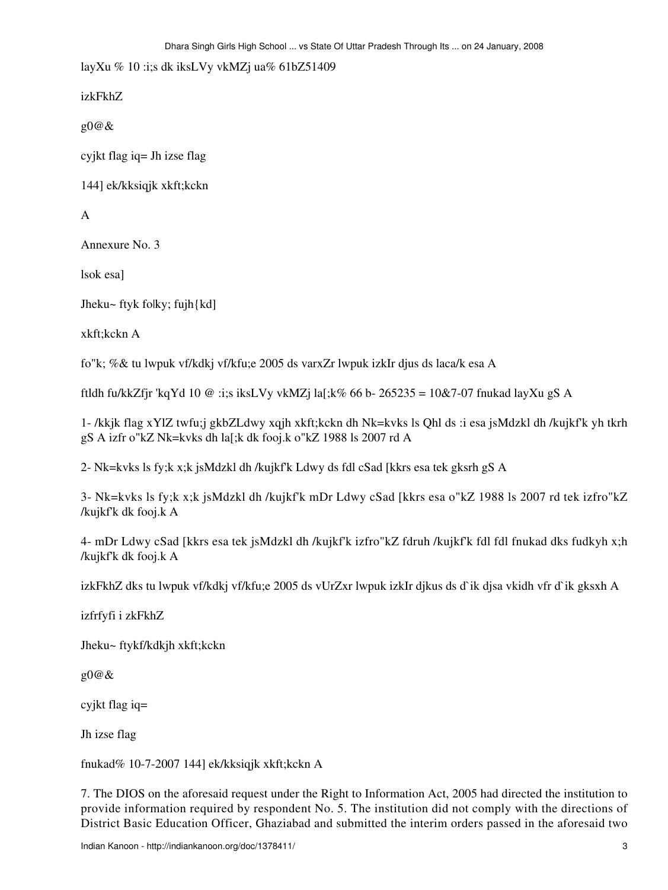layXu % 10 :i;s dk iksLVy vkMZj ua% 61bZ51409

izkFkhZ

 $\mathfrak{g}0@ \&$ 

cyjkt flag iq = Jh izse flag

144] ek/kksiqjk xkft;kckn

 $\mathsf{A}$ 

Annexure No. 3

lsok esal

Jheku~ ftyk folky; fujh{kd]

xkft:kckn A

fo"k; %& tu lwpuk vf/kdkj vf/kfu;e 2005 ds varxZr lwpuk izkIr djus ds laca/k esa A

ftldh fu/kkZfjr 'kqYd 10 @ :i;s iksLVy vkMZj la[;k% 66 b- 265235 = 10&7-07 fnukad layXu gS A

1- /kkjk flag xYlZ twfu;j gkbZLdwy xqjh xkft;kckn dh Nk=kvks ls Qhl ds :i esa jsMdzkl dh /kujkf'k yh tkrh gS A izfr o"kZ Nk=kvks dh la[;k dk fooj.k o"kZ 1988 ls 2007 rd A

2- Nk=kvks ls fy;k x;k jsMdzkl dh /kujkf'k Ldwy ds fdl cSad [kkrs esa tek gksrh gS A

3- Nk=kvks ls fy;k x;k jsMdzkl dh /kujkf'k mDr Ldwy cSad [kkrs esa o"kZ 1988 ls 2007 rd tek izfro"kZ /kujkf'k dk fooj.k A

4- mDr Ldwy cSad [kkrs esa tek jsMdzkl dh /kujkf'k izfro"kZ fdruh /kujkf'k fdl fdl fnukad dks fudkyh x;h /kujkf'k dk fooj.k A

izkFkhZ dks tu lwpuk vf/kdkj vf/kfu;e 2005 ds vUrZxr lwpuk izkIr djkus ds d`ik djsa vkidh vfr d`ik gksxh A

izfrfyfi i zkFkhZ

Jheku~ ftykf/kdkjh xkft;kckn

 $g0@&$ 

cyjkt flag iq=

Jh izse flag

fnukad% 10-7-2007 144] ek/kksiqjk xkft;kckn A

7. The DIOS on the aforesaid request under the Right to Information Act, 2005 had directed the institution to provide information required by respondent No. 5. The institution did not comply with the directions of District Basic Education Officer, Ghaziabad and submitted the interim orders passed in the aforesaid two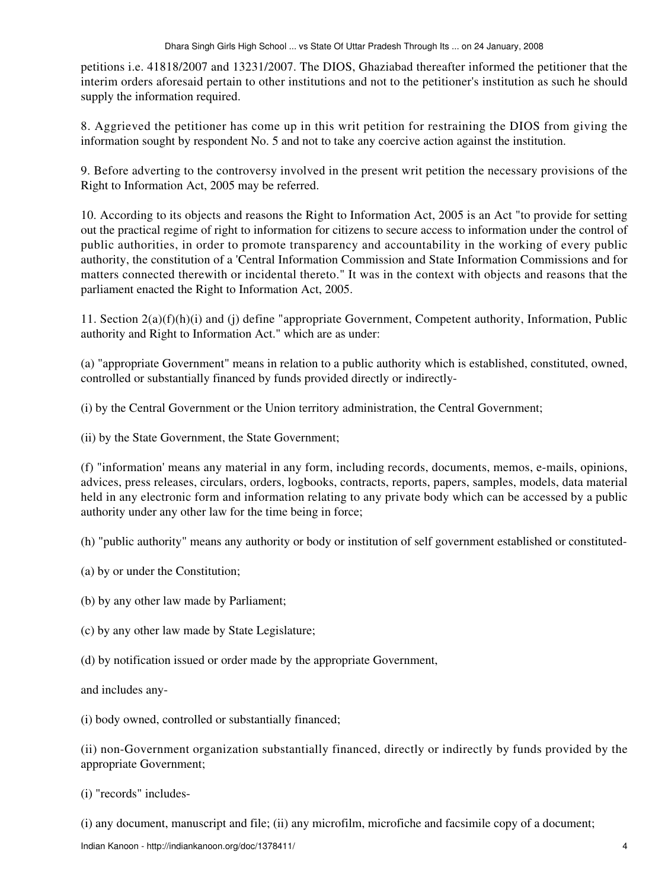petitions i.e. 41818/2007 and 13231/2007. The DIOS, Ghaziabad thereafter informed the petitioner that the interim orders aforesaid pertain to other institutions and not to the petitioner's institution as such he should supply the information required.

8. Aggrieved the petitioner has come up in this writ petition for restraining the DIOS from giving the information sought by respondent No. 5 and not to take any coercive action against the institution.

9. Before adverting to the controversy involved in the present writ petition the necessary provisions of the Right to Information Act, 2005 may be referred.

10. According to its objects and reasons the Right to Information Act, 2005 is an Act "to provide for setting out the practical regime of right to information for citizens to secure access to information under the control of public authorities, in order to promote transparency and accountability in the working of every public authority, the constitution of a 'Central Information Commission and State Information Commissions and for matters connected therewith or incidental thereto." It was in the context with objects and reasons that the parliament enacted the Right to Information Act, 2005.

11. Section 2(a)(f)(h)(i) and (j) define "appropriate Government, Competent authority, Information, Public authority and Right to Information Act." which are as under:

(a) "appropriate Government" means in relation to a public authority which is established, constituted, owned, controlled or substantially financed by funds provided directly or indirectly-

(i) by the Central Government or the Union territory administration, the Central Government;

(ii) by the State Government, the State Government;

(f) "information' means any material in any form, including records, documents, memos, e-mails, opinions, advices, press releases, circulars, orders, logbooks, contracts, reports, papers, samples, models, data material held in any electronic form and information relating to any private body which can be accessed by a public authority under any other law for the time being in force;

(h) "public authority" means any authority or body or institution of self government established or constituted-

(a) by or under the Constitution;

(b) by any other law made by Parliament;

(c) by any other law made by State Legislature;

(d) by notification issued or order made by the appropriate Government,

and includes any-

(i) body owned, controlled or substantially financed;

(ii) non-Government organization substantially financed, directly or indirectly by funds provided by the appropriate Government;

(i) "records" includes-

(i) any document, manuscript and file; (ii) any microfilm, microfiche and facsimile copy of a document;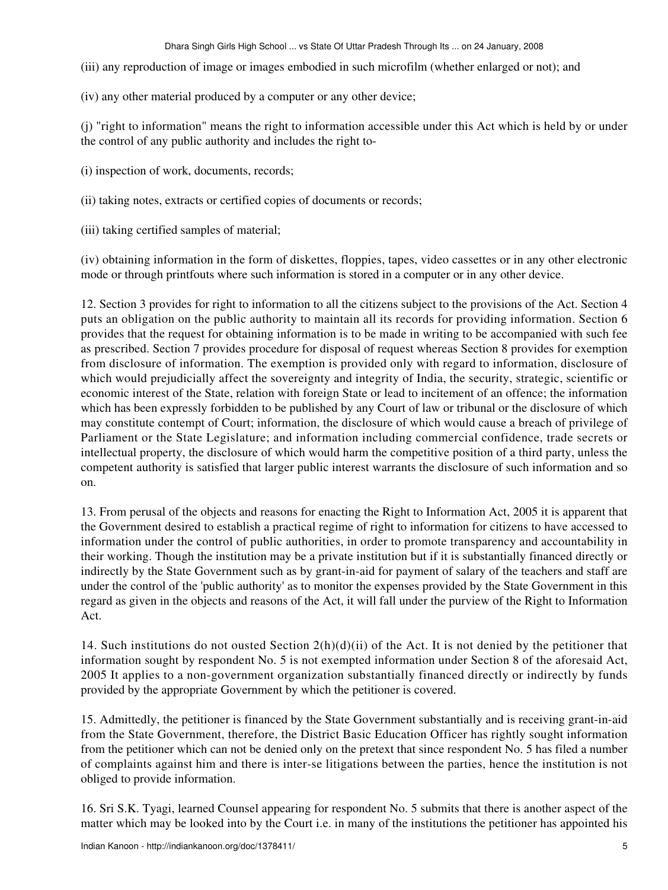- (iii) any reproduction of image or images embodied in such microfilm (whether enlarged or not); and
- (iv) any other material produced by a computer or any other device;

(j) "right to information" means the right to information accessible under this Act which is held by or under the control of any public authority and includes the right to-

- (i) inspection of work, documents, records;
- (ii) taking notes, extracts or certified copies of documents or records;
- (iii) taking certified samples of material;

(iv) obtaining information in the form of diskettes, floppies, tapes, video cassettes or in any other electronic mode or through printfouts where such information is stored in a computer or in any other device.

12. Section 3 provides for right to information to all the citizens subject to the provisions of the Act. Section 4 puts an obligation on the public authority to maintain all its records for providing information. Section 6 provides that the request for obtaining information is to be made in writing to be accompanied with such fee as prescribed. Section 7 provides procedure for disposal of request whereas Section 8 provides for exemption from disclosure of information. The exemption is provided only with regard to information, disclosure of which would prejudicially affect the sovereignty and integrity of India, the security, strategic, scientific or economic interest of the State, relation with foreign State or lead to incitement of an offence; the information which has been expressly forbidden to be published by any Court of law or tribunal or the disclosure of which may constitute contempt of Court; information, the disclosure of which would cause a breach of privilege of Parliament or the State Legislature; and information including commercial confidence, trade secrets or intellectual property, the disclosure of which would harm the competitive position of a third party, unless the competent authority is satisfied that larger public interest warrants the disclosure of such information and so on.

13. From perusal of the objects and reasons for enacting the Right to Information Act, 2005 it is apparent that the Government desired to establish a practical regime of right to information for citizens to have accessed to information under the control of public authorities, in order to promote transparency and accountability in their working. Though the institution may be a private institution but if it is substantially financed directly or indirectly by the State Government such as by grant-in-aid for payment of salary of the teachers and staff are under the control of the 'public authority' as to monitor the expenses provided by the State Government in this regard as given in the objects and reasons of the Act, it will fall under the purview of the Right to Information Act.

14. Such institutions do not ousted Section  $2(h)(d)(ii)$  of the Act. It is not denied by the petitioner that information sought by respondent No. 5 is not exempted information under Section 8 of the aforesaid Act, 2005 It applies to a non-government organization substantially financed directly or indirectly by funds provided by the appropriate Government by which the petitioner is covered.

15. Admittedly, the petitioner is financed by the State Government substantially and is receiving grant-in-aid from the State Government, therefore, the District Basic Education Officer has rightly sought information from the petitioner which can not be denied only on the pretext that since respondent No. 5 has filed a number of complaints against him and there is inter-se litigations between the parties, hence the institution is not obliged to provide information.

16. Sri S.K. Tyagi, learned Counsel appearing for respondent No. 5 submits that there is another aspect of the matter which may be looked into by the Court i.e. in many of the institutions the petitioner has appointed his